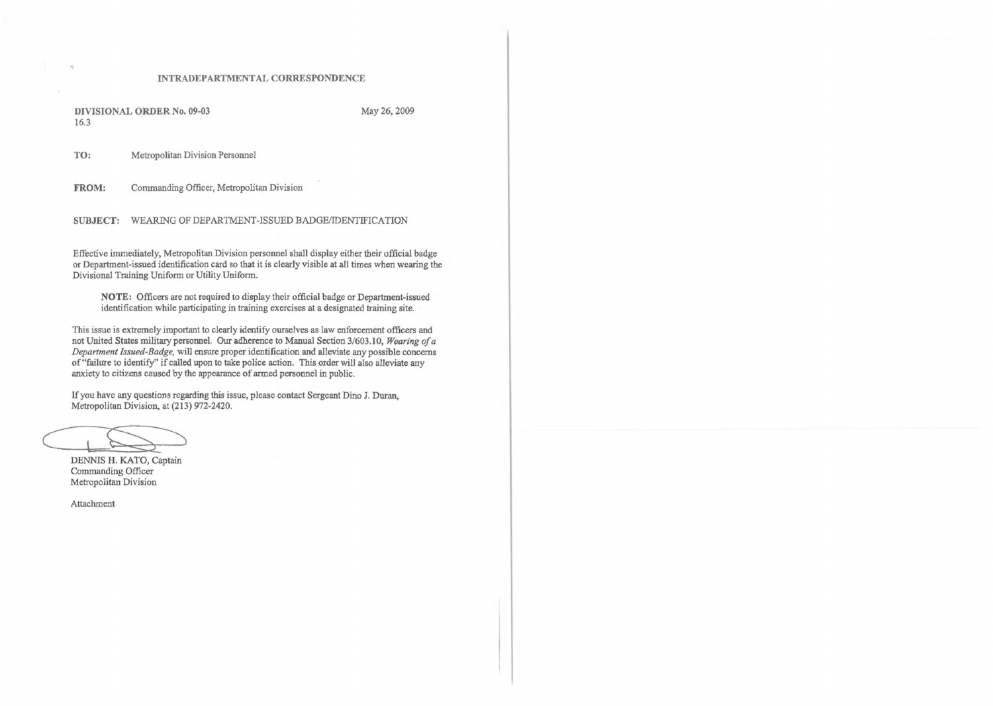## INTRADEPARTMENTAL CORRESPONDENCE

DIVISIONAL ORDER No. 09-03 May 26, 2009 16.3

TO: Metropolitan Division Personnel

FROM: Commanding Officer, Metropolitan Division

SUBJECT: WEARING OF DEPARTMENT-ISSUED BADGE/IDENTIFICATION

This issue is extremely important to clearly identify ourselves as law enforcement officers and not United States military personnel. Our adherence to Manual Section 3/603.10, *Wearing ofa Department Issued-Badge,* will ensure proper identification and alleviate any possible concerns of "failure to identify" if called upon to take police action. This order will also alleviate any anxiety to citizens caused by the appearance of armed personnel in public.

Effective immediately, Metropolitan Division personnel shall display either their official badge or Department-issued identification card so that it is clearly visible at all times when wearing the Divisional Training Uniform or Utility Uniform.

NOTE: Officers are not required to display their official badge or Department-issued identification while participating in training exercises at a designated training site.

If you have any questions regarding this issue, please contact Sergeant Dino J. Duran, Metropolitan Division, at (213) 972-2420.

DENNIS H. KATO, Captain Commanding Officer Metropolitan Division

Attachment